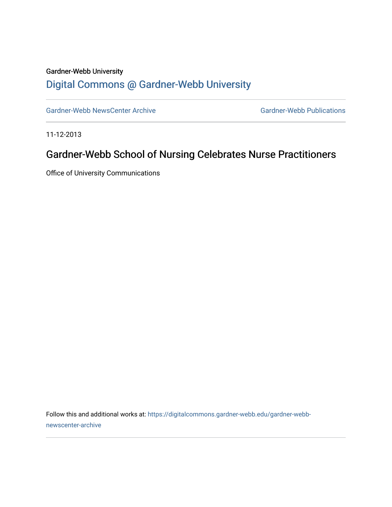## Gardner-Webb University

## [Digital Commons @ Gardner-Webb University](https://digitalcommons.gardner-webb.edu/)

[Gardner-Webb NewsCenter Archive](https://digitalcommons.gardner-webb.edu/gardner-webb-newscenter-archive) Gardner-Webb Publications

11-12-2013

## Gardner-Webb School of Nursing Celebrates Nurse Practitioners

Office of University Communications

Follow this and additional works at: [https://digitalcommons.gardner-webb.edu/gardner-webb](https://digitalcommons.gardner-webb.edu/gardner-webb-newscenter-archive?utm_source=digitalcommons.gardner-webb.edu%2Fgardner-webb-newscenter-archive%2F1535&utm_medium=PDF&utm_campaign=PDFCoverPages)[newscenter-archive](https://digitalcommons.gardner-webb.edu/gardner-webb-newscenter-archive?utm_source=digitalcommons.gardner-webb.edu%2Fgardner-webb-newscenter-archive%2F1535&utm_medium=PDF&utm_campaign=PDFCoverPages)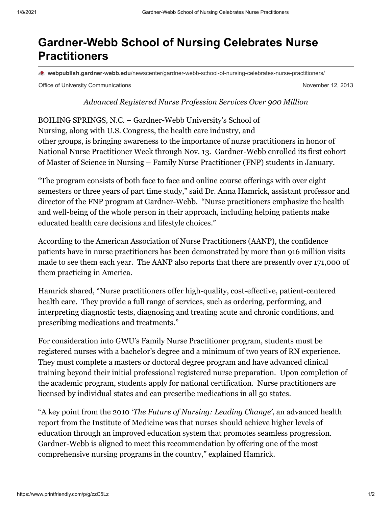## **Gardner-Webb School of Nursing Celebrates Nurse Practitioners**

**webpublish.gardner-webb.edu**[/newscenter/gardner-webb-school-of-nursing-celebrates-nurse-practitioners/](https://webpublish.gardner-webb.edu/newscenter/gardner-webb-school-of-nursing-celebrates-nurse-practitioners/)

Office of University Communications **November 12, 2013** November 12, 2013

*Advanced Registered Nurse Profession Services Over 900 Million*

BOILING SPRINGS, N.C. – Gardner-Webb University's School of Nursing, along with U.S. Congress, the health care industry, and other groups, is bringing awareness to the importance of nurse practitioners in honor of National Nurse Practitioner Week through Nov. 13. Gardner-Webb enrolled its first cohort of Master of Science in Nursing – Family Nurse Practitioner (FNP) students in January.

"The program consists of both face to face and online course offerings with over eight semesters or three years of part time study," said Dr. Anna Hamrick, assistant professor and director of the FNP program at Gardner-Webb. "Nurse practitioners emphasize the health and well-being of the whole person in their approach, including helping patients make educated health care decisions and lifestyle choices."

According to the American Association of Nurse Practitioners (AANP), the confidence patients have in nurse practitioners has been demonstrated by more than 916 million visits made to see them each year. The AANP also reports that there are presently over 171,000 of them practicing in America.

Hamrick shared, "Nurse practitioners offer high-quality, cost-effective, patient-centered health care. They provide a full range of services, such as ordering, performing, and interpreting diagnostic tests, diagnosing and treating acute and chronic conditions, and prescribing medications and treatments."

For consideration into GWU's Family Nurse Practitioner program, students must be registered nurses with a bachelor's degree and a minimum of two years of RN experience. They must complete a masters or doctoral degree program and have advanced clinical training beyond their initial professional registered nurse preparation. Upon completion of the academic program, students apply for national certification. Nurse practitioners are licensed by individual states and can prescribe medications in all 50 states.

"A key point from the 2010 '*The Future of Nursing: Leading Change'*, an advanced health report from the Institute of Medicine was that nurses should achieve higher levels of education through an improved education system that promotes seamless progression. Gardner-Webb is aligned to meet this recommendation by offering one of the most comprehensive nursing programs in the country," explained Hamrick.